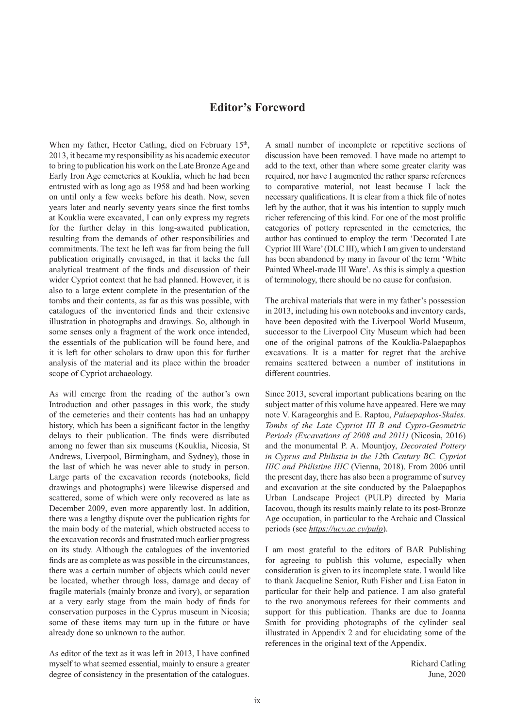## **Editor's Foreword**

When my father, Hector Catling, died on February 15<sup>th</sup>, 2013, it became my responsibility as his academic executor to bring to publication his work on the Late Bronze Age and Early Iron Age cemeteries at Kouklia, which he had been entrusted with as long ago as 1958 and had been working on until only a few weeks before his death. Now, seven years later and nearly seventy years since the first tombs at Kouklia were excavated, I can only express my regrets for the further delay in this long-awaited publication, resulting from the demands of other responsibilities and commitments. The text he left was far from being the full publication originally envisaged, in that it lacks the full analytical treatment of the finds and discussion of their wider Cypriot context that he had planned. However, it is also to a large extent complete in the presentation of the tombs and their contents, as far as this was possible, with catalogues of the inventoried finds and their extensive illustration in photographs and drawings. So, although in some senses only a fragment of the work once intended, the essentials of the publication will be found here, and it is left for other scholars to draw upon this for further analysis of the material and its place within the broader scope of Cypriot archaeology.

As will emerge from the reading of the author's own Introduction and other passages in this work, the study of the cemeteries and their contents has had an unhappy history, which has been a significant factor in the lengthy delays to their publication. The finds were distributed among no fewer than six museums (Kouklia, Nicosia, St Andrews, Liverpool, Birmingham, and Sydney), those in the last of which he was never able to study in person. Large parts of the excavation records (notebooks, field drawings and photographs) were likewise dispersed and scattered, some of which were only recovered as late as December 2009, even more apparently lost. In addition, there was a lengthy dispute over the publication rights for the main body of the material, which obstructed access to the excavation records and frustrated much earlier progress on its study. Although the catalogues of the inventoried finds are as complete as was possible in the circumstances, there was a certain number of objects which could never be located, whether through loss, damage and decay of fragile materials (mainly bronze and ivory), or separation at a very early stage from the main body of finds for conservation purposes in the Cyprus museum in Nicosia; some of these items may turn up in the future or have already done so unknown to the author.

As editor of the text as it was left in 2013, I have confined myself to what seemed essential, mainly to ensure a greater degree of consistency in the presentation of the catalogues.

A small number of incomplete or repetitive sections of discussion have been removed. I have made no attempt to add to the text, other than where some greater clarity was required, nor have I augmented the rather sparse references to comparative material, not least because I lack the necessary qualifications. It is clear from a thick file of notes left by the author, that it was his intention to supply much richer referencing of this kind. For one of the most prolific categories of pottery represented in the cemeteries, the author has continued to employ the term 'Decorated Late Cypriot III Ware' (DLC III), which I am given to understand has been abandoned by many in favour of the term 'White Painted Wheel-made III Ware'. As this is simply a question of terminology, there should be no cause for confusion.

The archival materials that were in my father's possession in 2013, including his own notebooks and inventory cards, have been deposited with the Liverpool World Museum, successor to the Liverpool City Museum which had been one of the original patrons of the Kouklia-Palaepaphos excavations. It is a matter for regret that the archive remains scattered between a number of institutions in different countries.

Since 2013, several important publications bearing on the subject matter of this volume have appeared. Here we may note V. Karageorghis and E. Raptou, *Palaepaphos-Skales. Tombs of the Late Cypriot III B and Cypro-Geometric Periods (Excavations of 2008 and 2011)* (Nicosia, 2016) and the monumental P. A. Mountjoy, *Decorated Pottery in Cyprus and Philistia in the 12*th *Century BC. Cypriot IIIC and Philistine IIIC* (Vienna, 2018). From 2006 until the present day, there has also been a programme of survey and excavation at the site conducted by the Palaepaphos Urban Landscape Project (PULP) directed by Maria Iacovou, though its results mainly relate to its post-Bronze Age occupation, in particular to the Archaic and Classical periods (see *https://ucy.ac.cy/pulp*).

I am most grateful to the editors of BAR Publishing for agreeing to publish this volume, especially when consideration is given to its incomplete state. I would like to thank Jacqueline Senior, Ruth Fisher and Lisa Eaton in particular for their help and patience. I am also grateful to the two anonymous referees for their comments and support for this publication. Thanks are due to Joanna Smith for providing photographs of the cylinder seal illustrated in Appendix 2 and for elucidating some of the references in the original text of the Appendix.

> Richard Catling June, 2020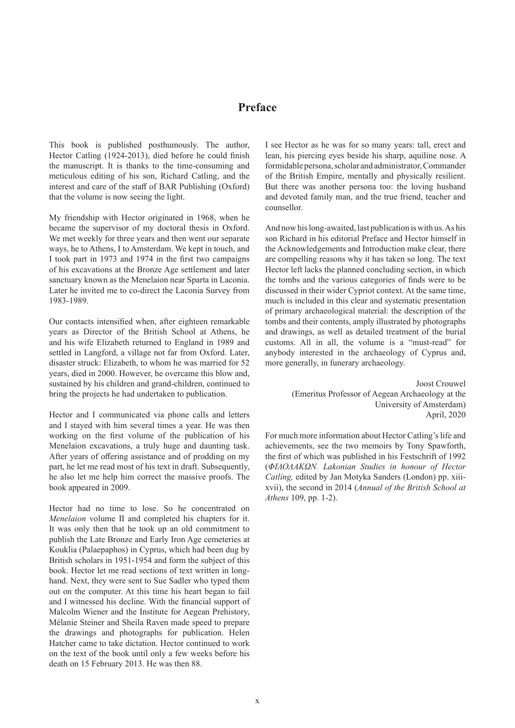## **Preface**

This book is published posthumously. The author, Hector Catling (1924-2013), died before he could finish the manuscript. It is thanks to the time-consuming and meticulous editing of his son, Richard Catling, and the interest and care of the staff of BAR Publishing (Oxford) that the volume is now seeing the light.

My friendship with Hector originated in 1968, when he became the supervisor of my doctoral thesis in Oxford. We met weekly for three years and then went our separate ways, he to Athens, I to Amsterdam. We kept in touch, and I took part in 1973 and 1974 in the first two campaigns of his excavations at the Bronze Age settlement and later sanctuary known as the Menelaion near Sparta in Laconia. Later he invited me to co-direct the Laconia Survey from 1983-1989.

Our contacts intensified when, after eighteen remarkable years as Director of the British School at Athens, he and his wife Elizabeth returned to England in 1989 and settled in Langford, a village not far from Oxford. Later, disaster struck: Elizabeth, to whom he was married for 52 years, died in 2000. However, he overcame this blow and, sustained by his children and grand-children, continued to bring the projects he had undertaken to publication.

Hector and I communicated via phone calls and letters and I stayed with him several times a year. He was then working on the first volume of the publication of his Menelaion excavations, a truly huge and daunting task. After years of offering assistance and of prodding on my part, he let me read most of his text in draft. Subsequently, he also let me help him correct the massive proofs. The book appeared in 2009.

Hector had no time to lose. So he concentrated on *Menelaion* volume II and completed his chapters for it. It was only then that he took up an old commitment to publish the Late Bronze and Early Iron Age cemeteries at Kouklia (Palaepaphos) in Cyprus, which had been dug by British scholars in 1951-1954 and form the subject of this book. Hector let me read sections of text written in longhand. Next, they were sent to Sue Sadler who typed them out on the computer. At this time his heart began to fail and I witnessed his decline. With the financial support of Malcolm Wiener and the Institute for Aegean Prehistory, Mélanie Steiner and Sheila Raven made speed to prepare the drawings and photographs for publication. Helen Hatcher came to take dictation. Hector continued to work on the text of the book until only a few weeks before his death on 15 February 2013. He was then 88.

I see Hector as he was for so many years: tall, erect and lean, his piercing eyes beside his sharp, aquiline nose. A formidable persona, scholar and administrator, Commander of the British Empire, mentally and physically resilient. But there was another persona too: the loving husband and devoted family man, and the true friend, teacher and counsellor.

And now his long-awaited, last publication is with us. As his son Richard in his editorial Preface and Hector himself in the Acknowledgements and Introduction make clear, there are compelling reasons why it has taken so long. The text Hector left lacks the planned concluding section, in which the tombs and the various categories of finds were to be discussed in their wider Cypriot context. At the same time, much is included in this clear and systematic presentation of primary archaeological material: the description of the tombs and their contents, amply illustrated by photographs and drawings, as well as detailed treatment of the burial customs. All in all, the volume is a "must-read" for anybody interested in the archaeology of Cyprus and, more generally, in funerary archaeology.

> Joost Crouwel (Emeritus Professor of Aegean Archaeology at the University of Amsterdam) April, 2020

For much more information about Hector Catling's life and achievements, see the two memoirs by Tony Spawforth, the first of which was published in his Festschrift of 1992 (*ΦΙΛΟΛΑΚΩΝ. Lakonian Studies in honour of Hector Catling,* edited by Jan Motyka Sanders (London) pp. xiiixvii), the second in 2014 (*Annual of the British School at Athens* 109, pp. 1-2).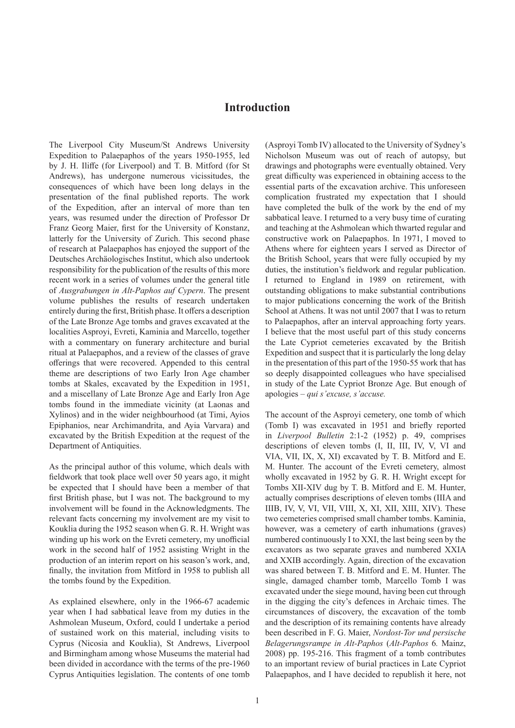## **Introduction**

The Liverpool City Museum/St Andrews University Expedition to Palaepaphos of the years 1950-1955, led by J. H. Iliffe (for Liverpool) and T. B. Mitford (for St Andrews), has undergone numerous vicissitudes, the consequences of which have been long delays in the presentation of the final published reports. The work of the Expedition, after an interval of more than ten years, was resumed under the direction of Professor Dr Franz Georg Maier, first for the University of Konstanz, latterly for the University of Zurich. This second phase of research at Palaepaphos has enjoyed the support of the Deutsches Archäologisches Institut, which also undertook responsibility for the publication of the results of this more recent work in a series of volumes under the general title of *Ausgrabungen in Alt-Paphos auf Cypern*. The present volume publishes the results of research undertaken entirely during the first, British phase. It offers a description of the Late Bronze Age tombs and graves excavated at the localities Asproyi, Evreti, Kaminia and Marcello, together with a commentary on funerary architecture and burial ritual at Palaepaphos, and a review of the classes of grave offerings that were recovered. Appended to this central theme are descriptions of two Early Iron Age chamber tombs at Skales, excavated by the Expedition in 1951, and a miscellany of Late Bronze Age and Early Iron Age tombs found in the immediate vicinity (at Laonas and Xylinos) and in the wider neighbourhood (at Timi, Ayios Epiphanios, near Archimandrita, and Ayia Varvara) and excavated by the British Expedition at the request of the Department of Antiquities.

As the principal author of this volume, which deals with fieldwork that took place well over 50 years ago, it might be expected that I should have been a member of that first British phase, but I was not. The background to my involvement will be found in the Acknowledgments. The relevant facts concerning my involvement are my visit to Kouklia during the 1952 season when G. R. H. Wright was winding up his work on the Evreti cemetery, my unofficial work in the second half of 1952 assisting Wright in the production of an interim report on his season's work, and, finally, the invitation from Mitford in 1958 to publish all the tombs found by the Expedition.

As explained elsewhere, only in the 1966-67 academic year when I had sabbatical leave from my duties in the Ashmolean Museum, Oxford, could I undertake a period of sustained work on this material, including visits to Cyprus (Nicosia and Kouklia), St Andrews, Liverpool and Birmingham among whose Museums the material had been divided in accordance with the terms of the pre-1960 Cyprus Antiquities legislation. The contents of one tomb

(Asproyi Tomb IV) allocated to the University of Sydney's Nicholson Museum was out of reach of autopsy, but drawings and photographs were eventually obtained. Very great difficulty was experienced in obtaining access to the essential parts of the excavation archive. This unforeseen complication frustrated my expectation that I should have completed the bulk of the work by the end of my sabbatical leave. I returned to a very busy time of curating and teaching at the Ashmolean which thwarted regular and constructive work on Palaepaphos. In 1971, I moved to Athens where for eighteen years I served as Director of the British School, years that were fully occupied by my duties, the institution's fieldwork and regular publication. I returned to England in 1989 on retirement, with outstanding obligations to make substantial contributions to major publications concerning the work of the British School at Athens. It was not until 2007 that I was to return to Palaepaphos, after an interval approaching forty years. I believe that the most useful part of this study concerns the Late Cypriot cemeteries excavated by the British Expedition and suspect that it is particularly the long delay in the presentation of this part of the 1950-55 work that has so deeply disappointed colleagues who have specialised in study of the Late Cypriot Bronze Age. But enough of apologies – *qui s'excuse, s'accuse.*

The account of the Asproyi cemetery, one tomb of which (Tomb I) was excavated in 1951 and briefly reported in *Liverpool Bulletin* 2:1-2 (1952) p. 49, comprises descriptions of eleven tombs (I, II, III, IV, V, VI and VIA, VII, IX, X, XI) excavated by T. B. Mitford and E. M. Hunter. The account of the Evreti cemetery, almost wholly excavated in 1952 by G. R. H. Wright except for Tombs XII-XIV dug by T. B. Mitford and E. M. Hunter, actually comprises descriptions of eleven tombs (IIIA and IIIB, IV, V, VI, VII, VIII, X, XI, XII, XIII, XIV). These two cemeteries comprised small chamber tombs. Kaminia, however, was a cemetery of earth inhumations (graves) numbered continuously I to XXI, the last being seen by the excavators as two separate graves and numbered XXIA and XXIB accordingly. Again, direction of the excavation was shared between T. B. Mitford and E. M. Hunter. The single, damaged chamber tomb, Marcello Tomb I was excavated under the siege mound, having been cut through in the digging the city's defences in Archaic times. The circumstances of discovery, the excavation of the tomb and the description of its remaining contents have already been described in F. G. Maier, *Nordost-Tor und persische Belagerungsrampe in Alt-Paphos* (*Alt-Paphos* 6*.* Mainz, 2008) pp. 195-216. This fragment of a tomb contributes to an important review of burial practices in Late Cypriot Palaepaphos, and I have decided to republish it here, not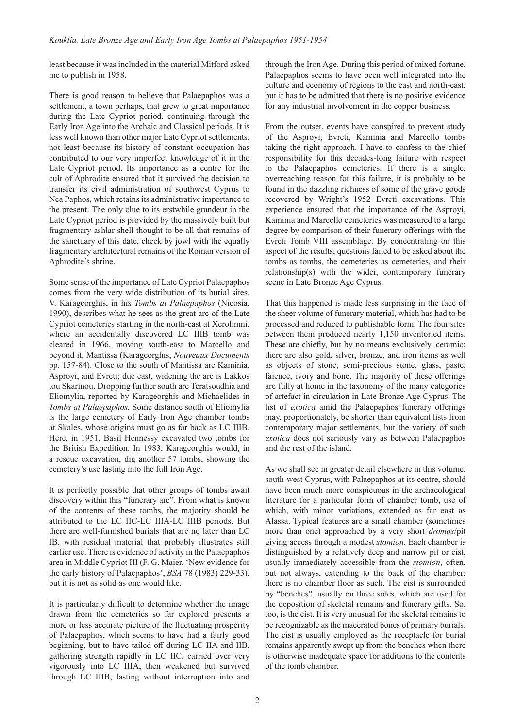least because it was included in the material Mitford asked me to publish in 1958.

There is good reason to believe that Palaepaphos was a settlement, a town perhaps, that grew to great importance during the Late Cypriot period, continuing through the Early Iron Age into the Archaic and Classical periods. It is less well known than other major Late Cypriot settlements, not least because its history of constant occupation has contributed to our very imperfect knowledge of it in the Late Cypriot period. Its importance as a centre for the cult of Aphrodite ensured that it survived the decision to transfer its civil administration of southwest Cyprus to Nea Paphos, which retains its administrative importance to the present. The only clue to its erstwhile grandeur in the Late Cypriot period is provided by the massively built but fragmentary ashlar shell thought to be all that remains of the sanctuary of this date, cheek by jowl with the equally fragmentary architectural remains of the Roman version of Aphrodite's shrine.

Some sense of the importance of Late Cypriot Palaepaphos comes from the very wide distribution of its burial sites. V. Karageorghis, in his *Tombs at Palaepaphos* (Nicosia, 1990), describes what he sees as the great arc of the Late Cypriot cemeteries starting in the north-east at Xerolimni, where an accidentally discovered LC IIIB tomb was cleared in 1966, moving south-east to Marcello and beyond it, Mantissa (Karageorghis, *Nouveaux Documents* pp. 157-84). Close to the south of Mantissa are Kaminia, Asproyi, and Evreti; due east, widening the arc is Lakkos tou Skarinou. Dropping further south are Teratsoudhia and Eliomylia, reported by Karageorghis and Michaelides in *Tombs at Palaepaphos.* Some distance south of Eliomylia is the large cemetery of Early Iron Age chamber tombs at Skales, whose origins must go as far back as LC IIIB. Here, in 1951, Basil Hennessy excavated two tombs for the British Expedition. In 1983, Karageorghis would, in a rescue excavation, dig another 57 tombs, showing the cemetery's use lasting into the full Iron Age.

It is perfectly possible that other groups of tombs await discovery within this "funerary arc". From what is known of the contents of these tombs, the majority should be attributed to the LC IIC-LC IIIA-LC IIIB periods. But there are well-furnished burials that are no later than LC IB, with residual material that probably illustrates still earlier use. There is evidence of activity in the Palaepaphos area in Middle Cypriot III (F. G. Maier, 'New evidence for the early history of Palaepaphos', *BSA* 78 (1983) 229-33), but it is not as solid as one would like.

It is particularly difficult to determine whether the image drawn from the cemeteries so far explored presents a more or less accurate picture of the fluctuating prosperity of Palaepaphos, which seems to have had a fairly good beginning, but to have tailed off during LC IIA and IIB, gathering strength rapidly in LC IIC, carried over very vigorously into LC IIIA, then weakened but survived through LC IIIB, lasting without interruption into and through the Iron Age. During this period of mixed fortune, Palaepaphos seems to have been well integrated into the culture and economy of regions to the east and north-east, but it has to be admitted that there is no positive evidence for any industrial involvement in the copper business.

From the outset, events have conspired to prevent study of the Asproyi, Evreti, Kaminia and Marcello tombs taking the right approach. I have to confess to the chief responsibility for this decades-long failure with respect to the Palaepaphos cemeteries. If there is a single, overreaching reason for this failure, it is probably to be found in the dazzling richness of some of the grave goods recovered by Wright's 1952 Evreti excavations. This experience ensured that the importance of the Asproyi, Kaminia and Marcello cemeteries was measured to a large degree by comparison of their funerary offerings with the Evreti Tomb VIII assemblage. By concentrating on this aspect of the results, questions failed to be asked about the tombs as tombs, the cemeteries as cemeteries, and their relationship(s) with the wider, contemporary funerary scene in Late Bronze Age Cyprus.

That this happened is made less surprising in the face of the sheer volume of funerary material, which has had to be processed and reduced to publishable form. The four sites between them produced nearly 1,150 inventoried items. These are chiefly, but by no means exclusively, ceramic; there are also gold, silver, bronze, and iron items as well as objects of stone, semi-precious stone, glass, paste, faience, ivory and bone. The majority of these offerings are fully at home in the taxonomy of the many categories of artefact in circulation in Late Bronze Age Cyprus. The list of *exotica* amid the Palaepaphos funerary offerings may, proportionately, be shorter than equivalent lists from contemporary major settlements, but the variety of such *exotica* does not seriously vary as between Palaepaphos and the rest of the island.

As we shall see in greater detail elsewhere in this volume, south-west Cyprus, with Palaepaphos at its centre, should have been much more conspicuous in the archaeological literature for a particular form of chamber tomb, use of which, with minor variations, extended as far east as Alassa. Typical features are a small chamber (sometimes more than one) approached by a very short *dromos*/pit giving access through a modest *stomion.* Each chamber is distinguished by a relatively deep and narrow pit or cist, usually immediately accessible from the *stomion*, often, but not always, extending to the back of the chamber; there is no chamber floor as such. The cist is surrounded by "benches", usually on three sides, which are used for the deposition of skeletal remains and funerary gifts. So, too, is the cist. It is very unusual for the skeletal remains to be recognizable as the macerated bones of primary burials. The cist is usually employed as the receptacle for burial remains apparently swept up from the benches when there is otherwise inadequate space for additions to the contents of the tomb chamber.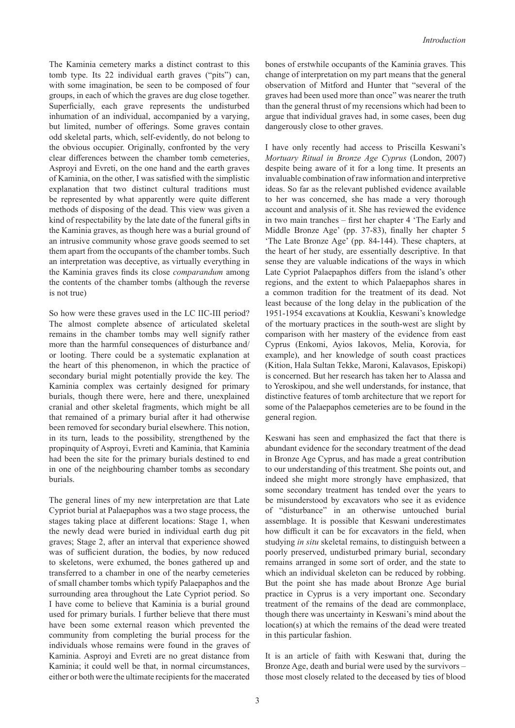The Kaminia cemetery marks a distinct contrast to this tomb type. Its 22 individual earth graves ("pits") can, with some imagination, be seen to be composed of four groups, in each of which the graves are dug close together. Superficially, each grave represents the undisturbed inhumation of an individual, accompanied by a varying, but limited, number of offerings. Some graves contain odd skeletal parts, which, self-evidently, do not belong to the obvious occupier. Originally, confronted by the very clear differences between the chamber tomb cemeteries, Asproyi and Evreti, on the one hand and the earth graves of Kaminia, on the other, I was satisfied with the simplistic explanation that two distinct cultural traditions must be represented by what apparently were quite different methods of disposing of the dead. This view was given a kind of respectability by the late date of the funeral gifts in the Kaminia graves, as though here was a burial ground of an intrusive community whose grave goods seemed to set them apart from the occupants of the chamber tombs. Such an interpretation was deceptive, as virtually everything in the Kaminia graves finds its close *comparandum* among the contents of the chamber tombs (although the reverse is not true)

So how were these graves used in the LC IIC-III period? The almost complete absence of articulated skeletal remains in the chamber tombs may well signify rather more than the harmful consequences of disturbance and/ or looting. There could be a systematic explanation at the heart of this phenomenon, in which the practice of secondary burial might potentially provide the key. The Kaminia complex was certainly designed for primary burials, though there were, here and there, unexplained cranial and other skeletal fragments, which might be all that remained of a primary burial after it had otherwise been removed for secondary burial elsewhere. This notion, in its turn, leads to the possibility, strengthened by the propinquity of Asproyi, Evreti and Kaminia, that Kaminia had been the site for the primary burials destined to end in one of the neighbouring chamber tombs as secondary burials.

The general lines of my new interpretation are that Late Cypriot burial at Palaepaphos was a two stage process, the stages taking place at different locations: Stage 1, when the newly dead were buried in individual earth dug pit graves; Stage 2, after an interval that experience showed was of sufficient duration, the bodies, by now reduced to skeletons, were exhumed, the bones gathered up and transferred to a chamber in one of the nearby cemeteries of small chamber tombs which typify Palaepaphos and the surrounding area throughout the Late Cypriot period. So I have come to believe that Kaminia is a burial ground used for primary burials. I further believe that there must have been some external reason which prevented the community from completing the burial process for the individuals whose remains were found in the graves of Kaminia. Asproyi and Evreti are no great distance from Kaminia; it could well be that, in normal circumstances, either or both were the ultimate recipients for the macerated

bones of erstwhile occupants of the Kaminia graves. This change of interpretation on my part means that the general observation of Mitford and Hunter that "several of the graves had been used more than once" was nearer the truth than the general thrust of my recensions which had been to argue that individual graves had, in some cases, been dug dangerously close to other graves.

I have only recently had access to Priscilla Keswani's *Mortuary Ritual in Bronze Age Cyprus* (London, 2007) despite being aware of it for a long time. It presents an invaluable combination of raw information and interpretive ideas. So far as the relevant published evidence available to her was concerned, she has made a very thorough account and analysis of it. She has reviewed the evidence in two main tranches – first her chapter 4 'The Early and Middle Bronze Age' (pp. 37-83), finally her chapter 5 'The Late Bronze Age' (pp. 84-144). These chapters, at the heart of her study, are essentially descriptive. In that sense they are valuable indications of the ways in which Late Cypriot Palaepaphos differs from the island's other regions, and the extent to which Palaepaphos shares in a common tradition for the treatment of its dead. Not least because of the long delay in the publication of the 1951-1954 excavations at Kouklia, Keswani's knowledge of the mortuary practices in the south-west are slight by comparison with her mastery of the evidence from east Cyprus (Enkomi, Ayios Iakovos, Melia, Korovia, for example), and her knowledge of south coast practices (Kition, Hala Sultan Tekke, Maroni, Kalavasos, Episkopi) is concerned. But her research has taken her to Alassa and to Yeroskipou, and she well understands, for instance, that distinctive features of tomb architecture that we report for some of the Palaepaphos cemeteries are to be found in the general region.

Keswani has seen and emphasized the fact that there is abundant evidence for the secondary treatment of the dead in Bronze Age Cyprus, and has made a great contribution to our understanding of this treatment. She points out, and indeed she might more strongly have emphasized, that some secondary treatment has tended over the years to be misunderstood by excavators who see it as evidence of "disturbance" in an otherwise untouched burial assemblage. It is possible that Keswani underestimates how difficult it can be for excavators in the field, when studying *in situ* skeletal remains, to distinguish between a poorly preserved, undisturbed primary burial, secondary remains arranged in some sort of order, and the state to which an individual skeleton can be reduced by robbing. But the point she has made about Bronze Age burial practice in Cyprus is a very important one. Secondary treatment of the remains of the dead are commonplace, though there was uncertainty in Keswani's mind about the location(s) at which the remains of the dead were treated in this particular fashion.

It is an article of faith with Keswani that, during the Bronze Age, death and burial were used by the survivors – those most closely related to the deceased by ties of blood